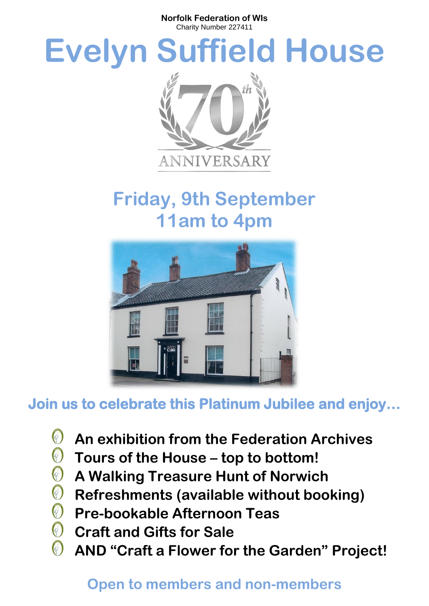**Norfolk Federation of WIs** Charity Number 227411

# **Evelyn Suffield House**



## **Friday, 9th September 11am to 4pm**



## **Join us to celebrate this Platinum Jubilee and enjoy…**

- $\bigcirc$ **An exhibition from the Federation Archives**
- $\bigcirc$ **Tours of the House – top to bottom!**
- 0 **A Walking Treasure Hunt of Norwich**
- $\bigcirc$ **Refreshments (available without booking)**
- **Pre-bookable Afternoon Teas**
- $\bigcirc$ **Craft and Gifts for Sale**
- O **AND "Craft a Flower for the Garden" Project!**

#### **Open to members and non-members**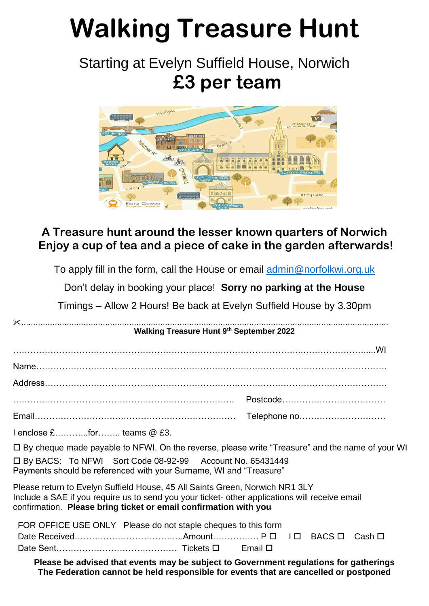# **Walking Treasure Hunt**

## Starting at Evelyn Suffield House, Norwich **£3 per team**



#### **A Treasure hunt around the lesser known quarters of Norwich Enjoy a cup of tea and a piece of cake in the garden afterwards!**

To apply fill in the form, call the House or email [admin@norfolkwi.org.uk](mailto:admin@norfolkwi.org.uk)

Don't delay in booking your place! **Sorry no parking at the House**

Timings – Allow 2 Hours! Be back at Evelyn Suffield House by 3.30pm

|                                                                                                                                                                                                                                                    | Walking Treasure Hunt 9th September 2022 |  |  |
|----------------------------------------------------------------------------------------------------------------------------------------------------------------------------------------------------------------------------------------------------|------------------------------------------|--|--|
|                                                                                                                                                                                                                                                    |                                          |  |  |
|                                                                                                                                                                                                                                                    |                                          |  |  |
|                                                                                                                                                                                                                                                    |                                          |  |  |
|                                                                                                                                                                                                                                                    |                                          |  |  |
|                                                                                                                                                                                                                                                    |                                          |  |  |
| I enclose £for teams @ £3.                                                                                                                                                                                                                         |                                          |  |  |
| $\Box$ By cheque made payable to NFWI. On the reverse, please write "Treasure" and the name of your WI                                                                                                                                             |                                          |  |  |
| □ By BACS: To NFWI Sort Code 08-92-99 Account No. 65431449<br>Payments should be referenced with your Surname, WI and "Treasure"                                                                                                                   |                                          |  |  |
| Please return to Evelyn Suffield House, 45 All Saints Green, Norwich NR1 3LY<br>Include a SAE if you require us to send you your ticket- other applications will receive email<br>confirmation. Please bring ticket or email confirmation with you |                                          |  |  |
| FOR OFFICE USE ONLY Please do not staple cheques to this form                                                                                                                                                                                      |                                          |  |  |
|                                                                                                                                                                                                                                                    |                                          |  |  |
|                                                                                                                                                                                                                                                    |                                          |  |  |
| Please be advised that events may be subject to Government regulations for gatherings<br>The Federation cannot be held responsible for events that are cancelled or postponed                                                                      |                                          |  |  |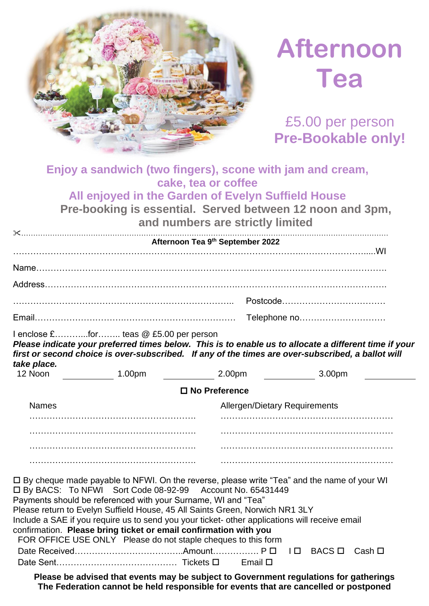

## **Afternoon Tea**

£5.00 per person **Pre-Bookable only!**

#### **Enjoy a sandwich (two fingers), scone with jam and cream, cake, tea or coffee All enjoyed in the Garden of Evelyn Suffield House**

**Pre-booking is essential. Served between 12 noon and 3pm, and numbers are strictly limited**

|                                                                                                                                                                                                                                                                                                                                                                                                                                                                                                                                                    | and numbers are strivity immed                                                                        |
|----------------------------------------------------------------------------------------------------------------------------------------------------------------------------------------------------------------------------------------------------------------------------------------------------------------------------------------------------------------------------------------------------------------------------------------------------------------------------------------------------------------------------------------------------|-------------------------------------------------------------------------------------------------------|
|                                                                                                                                                                                                                                                                                                                                                                                                                                                                                                                                                    | Afternoon Tea 9th September 2022                                                                      |
|                                                                                                                                                                                                                                                                                                                                                                                                                                                                                                                                                    |                                                                                                       |
|                                                                                                                                                                                                                                                                                                                                                                                                                                                                                                                                                    |                                                                                                       |
|                                                                                                                                                                                                                                                                                                                                                                                                                                                                                                                                                    |                                                                                                       |
|                                                                                                                                                                                                                                                                                                                                                                                                                                                                                                                                                    |                                                                                                       |
| I enclose £for teas @ £5.00 per person<br>first or second choice is over-subscribed. If any of the times are over-subscribed, a ballot will<br>take place.                                                                                                                                                                                                                                                                                                                                                                                         | Please indicate your preferred times below. This is to enable us to allocate a different time if your |
| 12 Noon _____________ 1.00pm __________                                                                                                                                                                                                                                                                                                                                                                                                                                                                                                            | 2.00pm<br>3.00 <sub>pm</sub>                                                                          |
|                                                                                                                                                                                                                                                                                                                                                                                                                                                                                                                                                    | $\Box$ No Preference                                                                                  |
| <b>Names</b>                                                                                                                                                                                                                                                                                                                                                                                                                                                                                                                                       | <b>Allergen/Dietary Requirements</b>                                                                  |
|                                                                                                                                                                                                                                                                                                                                                                                                                                                                                                                                                    |                                                                                                       |
|                                                                                                                                                                                                                                                                                                                                                                                                                                                                                                                                                    |                                                                                                       |
|                                                                                                                                                                                                                                                                                                                                                                                                                                                                                                                                                    |                                                                                                       |
|                                                                                                                                                                                                                                                                                                                                                                                                                                                                                                                                                    |                                                                                                       |
| □ By cheque made payable to NFWI. On the reverse, please write "Tea" and the name of your WI<br>□ By BACS: To NFWI Sort Code 08-92-99 Account No. 65431449<br>Payments should be referenced with your Surname, WI and "Tea"<br>Please return to Evelyn Suffield House, 45 All Saints Green, Norwich NR1 3LY<br>Include a SAE if you require us to send you your ticket- other applications will receive email<br>confirmation. Please bring ticket or email confirmation with you<br>FOR OFFICE USE ONLY Please do not staple cheques to this form |                                                                                                       |

**Please be advised that events may be subject to Government regulations for gatherings The Federation cannot be held responsible for events that are cancelled or postponed**

Date Sent…………………………………… Tickets Email